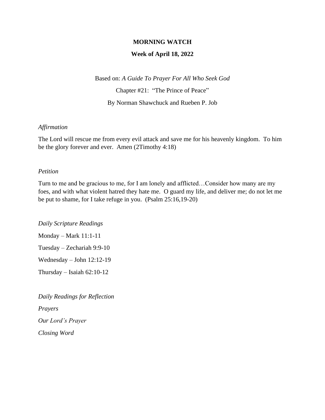## **MORNING WATCH**

### **Week of April 18, 2022**

Based on: *A Guide To Prayer For All Who Seek God*

Chapter #21: "The Prince of Peace"

By Norman Shawchuck and Rueben P. Job

### *Affirmation*

The Lord will rescue me from every evil attack and save me for his heavenly kingdom. To him be the glory forever and ever. Amen (2Timothy 4:18)

#### *Petition*

Turn to me and be gracious to me, for I am lonely and afflicted…Consider how many are my foes, and with what violent hatred they hate me. O guard my life, and deliver me; do not let me be put to shame, for I take refuge in you. (Psalm 25:16,19-20)

*Daily Scripture Readings*

Monday – Mark 11:1-11

Tuesday – Zechariah 9:9-10

Wednesday – John 12:12-19

Thursday – Isaiah 62:10-12

*Daily Readings for Reflection Prayers Our Lord's Prayer Closing Word*